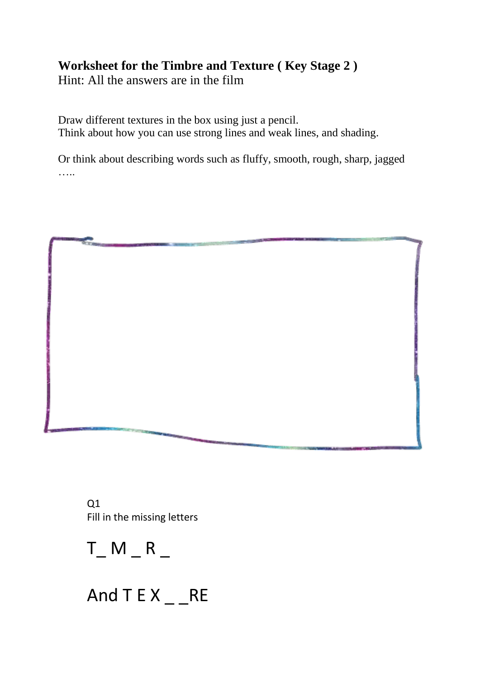## **Worksheet for the Timbre and Texture ( Key Stage 2 )**

Hint: All the answers are in the film

Draw different textures in the box using just a pencil. Think about how you can use strong lines and weak lines, and shading.

Or think about describing words such as fluffy, smooth, rough, sharp, jagged ……



 $Q1$ Fill in the missing letters



And  $T E X _ - R E$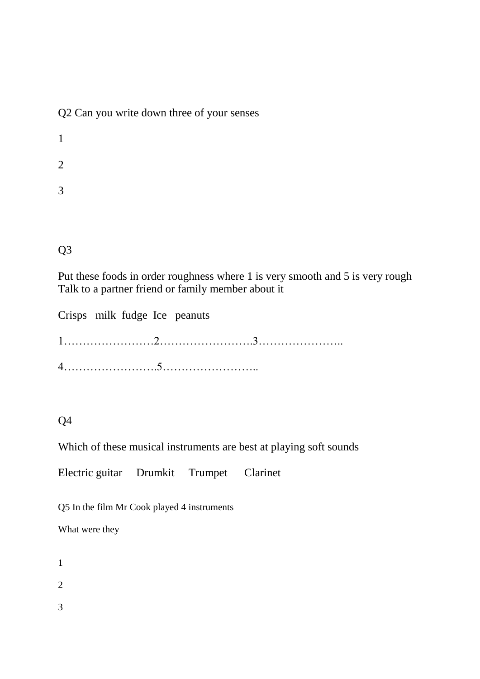Q2 Can you write down three of your senses

1 2 3

Q3

Put these foods in order roughness where 1 is very smooth and 5 is very rough Talk to a partner friend or family member about it

Crisps milk fudge Ice peanuts 1……………………2…………………….3………………….. 4…………………….5……………………..

## Q4

Which of these musical instruments are best at playing soft sounds

Electric guitar Drumkit Trumpet Clarinet

Q5 In the film Mr Cook played 4 instruments

What were they

1

2

3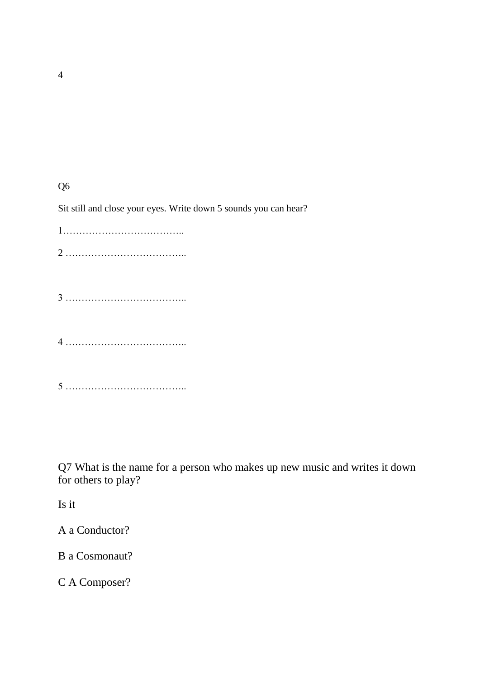Q6

Sit still and close your eyes. Write down 5 sounds you can hear?

Q7 What is the name for a person who makes up new music and writes it down for others to play?

Is it

A a Conductor?

B a Cosmonaut?

C A Composer?